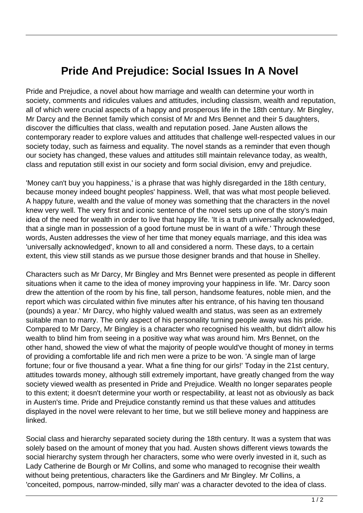## **Pride And Prejudice: Social Issues In A Novel**

Pride and Prejudice, a novel about how marriage and wealth can determine your worth in society, comments and ridicules values and attitudes, including classism, wealth and reputation, all of which were crucial aspects of a happy and prosperous life in the 18th century. Mr Bingley, Mr Darcy and the Bennet family which consist of Mr and Mrs Bennet and their 5 daughters, discover the difficulties that class, wealth and reputation posed. Jane Austen allows the contemporary reader to explore values and attitudes that challenge well-respected values in our society today, such as fairness and equality. The novel stands as a reminder that even though our society has changed, these values and attitudes still maintain relevance today, as wealth, class and reputation still exist in our society and form social division, envy and prejudice.

'Money can't buy you happiness,' is a phrase that was highly disregarded in the 18th century, because money indeed bought peoples' happiness. Well, that was what most people believed. A happy future, wealth and the value of money was something that the characters in the novel knew very well. The very first and iconic sentence of the novel sets up one of the story's main idea of the need for wealth in order to live that happy life. 'It is a truth universally acknowledged, that a single man in possession of a good fortune must be in want of a wife.' Through these words, Austen addresses the view of her time that money equals marriage, and this idea was 'universally acknowledged', known to all and considered a norm. These days, to a certain extent, this view still stands as we pursue those designer brands and that house in Shelley.

Characters such as Mr Darcy, Mr Bingley and Mrs Bennet were presented as people in different situations when it came to the idea of money improving your happiness in life. 'Mr. Darcy soon drew the attention of the room by his fine, tall person, handsome features, noble mien, and the report which was circulated within five minutes after his entrance, of his having ten thousand (pounds) a year.' Mr Darcy, who highly valued wealth and status, was seen as an extremely suitable man to marry. The only aspect of his personality turning people away was his pride. Compared to Mr Darcy, Mr Bingley is a character who recognised his wealth, but didn't allow his wealth to blind him from seeing in a positive way what was around him. Mrs Bennet, on the other hand, showed the view of what the majority of people would've thought of money in terms of providing a comfortable life and rich men were a prize to be won. 'A single man of large fortune; four or five thousand a year. What a fine thing for our girls!' Today in the 21st century, attitudes towards money, although still extremely important, have greatly changed from the way society viewed wealth as presented in Pride and Prejudice. Wealth no longer separates people to this extent; it doesn't determine your worth or respectability, at least not as obviously as back in Austen's time. Pride and Prejudice constantly remind us that these values and attitudes displayed in the novel were relevant to her time, but we still believe money and happiness are linked.

Social class and hierarchy separated society during the 18th century. It was a system that was solely based on the amount of money that you had. Austen shows different views towards the social hierarchy system through her characters, some who were overly invested in it, such as Lady Catherine de Bourgh or Mr Collins, and some who managed to recognise their wealth without being pretentious, characters like the Gardiners and Mr Bingley. Mr Collins, a 'conceited, pompous, narrow-minded, silly man' was a character devoted to the idea of class.